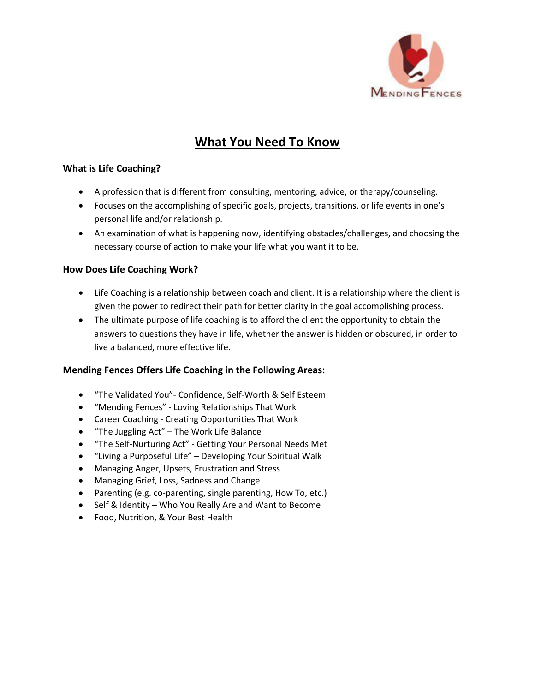

# **What You Need To Know**

# **What is Life Coaching?**

- A profession that is different from consulting, mentoring, advice, or therapy/counseling.
- Focuses on the accomplishing of specific goals, projects, transitions, or life events in one's personal life and/or relationship.
- An examination of what is happening now, identifying obstacles/challenges, and choosing the necessary course of action to make your life what you want it to be.

# **How Does Life Coaching Work?**

- Life Coaching is a relationship between coach and client. It is a relationship where the client is given the power to redirect their path for better clarity in the goal accomplishing process.
- The ultimate purpose of life coaching is to afford the client the opportunity to obtain the answers to questions they have in life, whether the answer is hidden or obscured, in order to live a balanced, more effective life.

### **Mending Fences Offers Life Coaching in the Following Areas:**

- "The Validated You"- Confidence, Self-Worth & Self Esteem
- "Mending Fences" Loving Relationships That Work
- Career Coaching Creating Opportunities That Work
- "The Juggling Act" The Work Life Balance
- "The Self-Nurturing Act" Getting Your Personal Needs Met
- "Living a Purposeful Life" Developing Your Spiritual Walk
- Managing Anger, Upsets, Frustration and Stress
- Managing Grief, Loss, Sadness and Change
- Parenting (e.g. co-parenting, single parenting, How To, etc.)
- Self & Identity Who You Really Are and Want to Become
- Food, Nutrition, & Your Best Health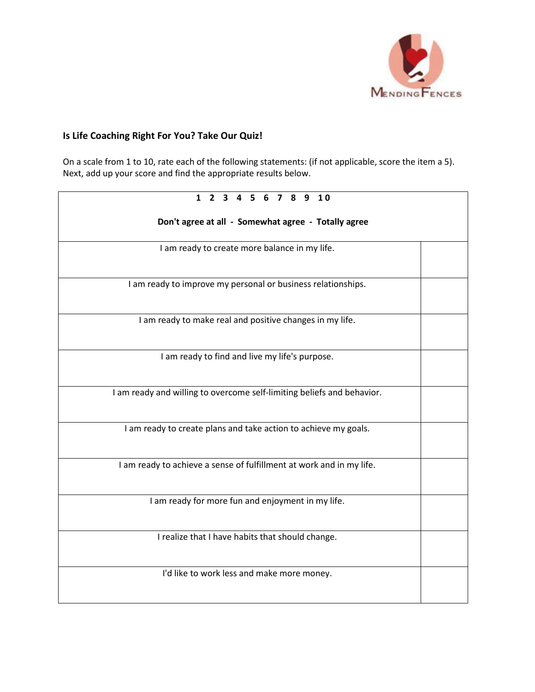

# **Is Life Coaching Right For You? Take Our Quiz!**

On a scale from 1 to 10, rate each of the following statements: (if not applicable, score the item a 5). Next, add up your score and find the appropriate results below.

| 2 3 4 5 6 7 8 9 10<br>$\mathbf{1}$                                     |  |
|------------------------------------------------------------------------|--|
| Don't agree at all - Somewhat agree - Totally agree                    |  |
| I am ready to create more balance in my life.                          |  |
| I am ready to improve my personal or business relationships.           |  |
| I am ready to make real and positive changes in my life.               |  |
| I am ready to find and live my life's purpose.                         |  |
| I am ready and willing to overcome self-limiting beliefs and behavior. |  |
| I am ready to create plans and take action to achieve my goals.        |  |
| I am ready to achieve a sense of fulfillment at work and in my life.   |  |
| I am ready for more fun and enjoyment in my life.                      |  |
| I realize that I have habits that should change.                       |  |
| I'd like to work less and make more money.                             |  |